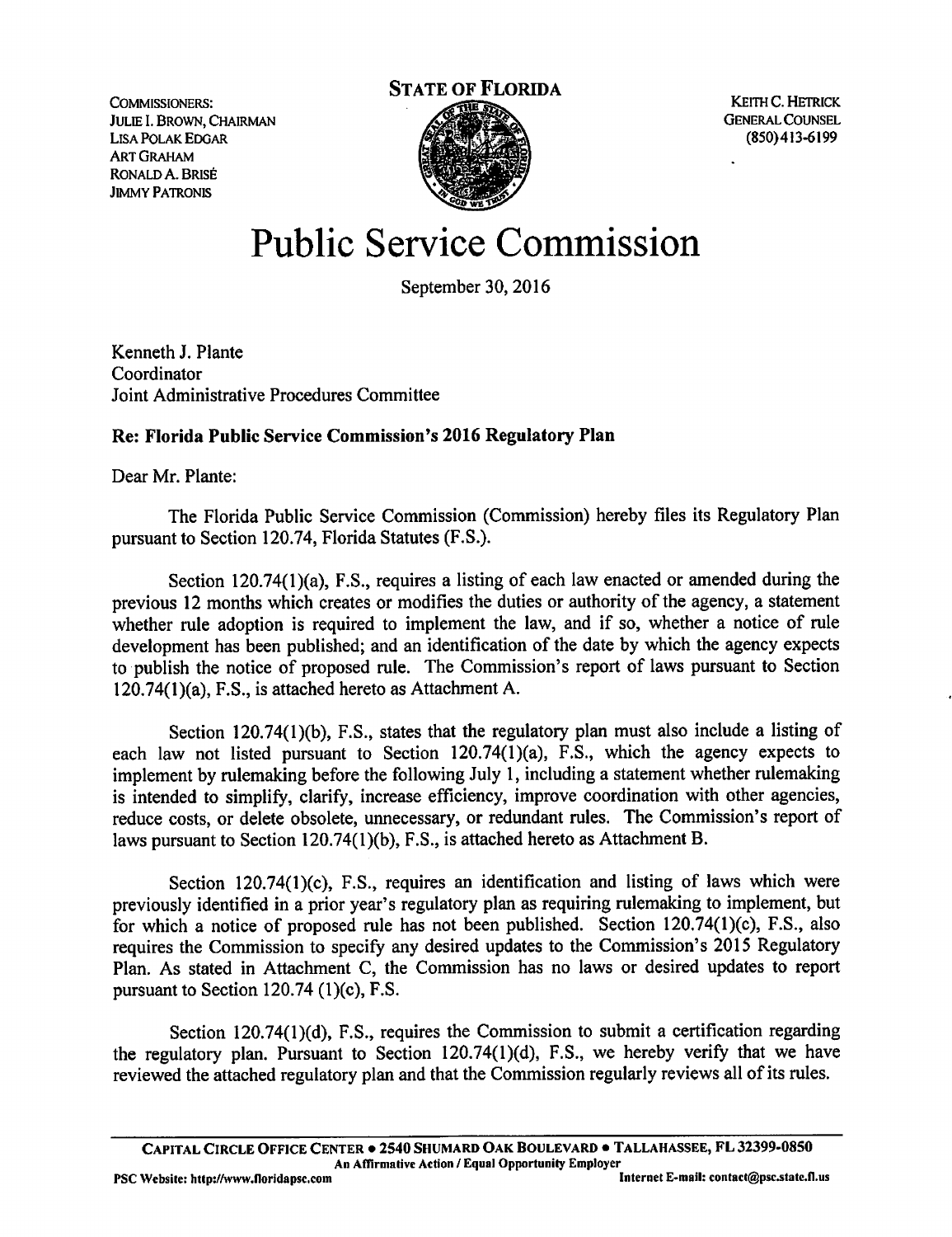Lisa Polak Edgar ART Graham Ronald A. Brise Jimmy Patronis



# Public Service Commission

September 30,2016

Kenneth J. Plante Coordinator Joint Administrative Procedures Committee

## Re: Florida Public Service Commission's 2016 Regulatory Plan

Dear Mr. Plante:

The Florida Public Service Commission (Commission) hereby files its Regulatory Plan pursuant to Section 120.74, Florida Statutes (F.S.).

Section 120.74(1)(a), F.S., requires a listing of each law enacted or amended during the previous 12 months which creates or modifies the duties or authority of the agency, a statement whether rule adoption is required to implement the law, and if so, whether a notice of rule development has been published; and an identification of the date by which the agency expects to publish the notice of proposed rule. The Commission's report of laws pursuant to Section 120.74(l)(a), F.S., is attached hereto as Attachment A.

Section 120.74(1)(b), F.S., states that the regulatory plan must also include a listing of each law not listed pursuant to Section 120.74(1)(a), F.S., which the agency expects to implement by rulemaking before the following July 1, including a statement whether rulemaking is intended to simplify, clarify, increase efficiency, improve coordination with other agencies, reduce costs, or delete obsolete, unnecessary, or redundant rules. The Commission's report of laws pursuant to Section 120.74(l)(b), F.S., is attached hereto as Attachment B.

Section 120.74(l)(c), F.S., requires an identification and listing of laws which were previously identified in a prior year's regulatory plan as requiring rulemaking to implement, but for which a notice of proposed rule has not been published. Section 120.74(1 )(c), F.S., also requires the Commission to specify any desired updates to the Commission's 2015 Regulatory Plan. As stated in Attachment C, the Commission has no laws or desired updates to report pursuant to Section 120.74  $(1)(c)$ , F.S.

Section 120.74(1)(d), F.S., requires the Commission to submit a certification regarding the regulatory plan. Pursuant to Section 120.74(l)(d), F.S., we hereby verify that we have reviewed the attached regulatory plan and that the Commission regularly reviews all of its rules.

Capital Circle Office Center • 2540 Shumard Oak Boulevard • Tallahassee, FL 32399-0850 An AfTirmalive Action / Equal Opportunity Employer

PSC Website: http://www.floridapsc.com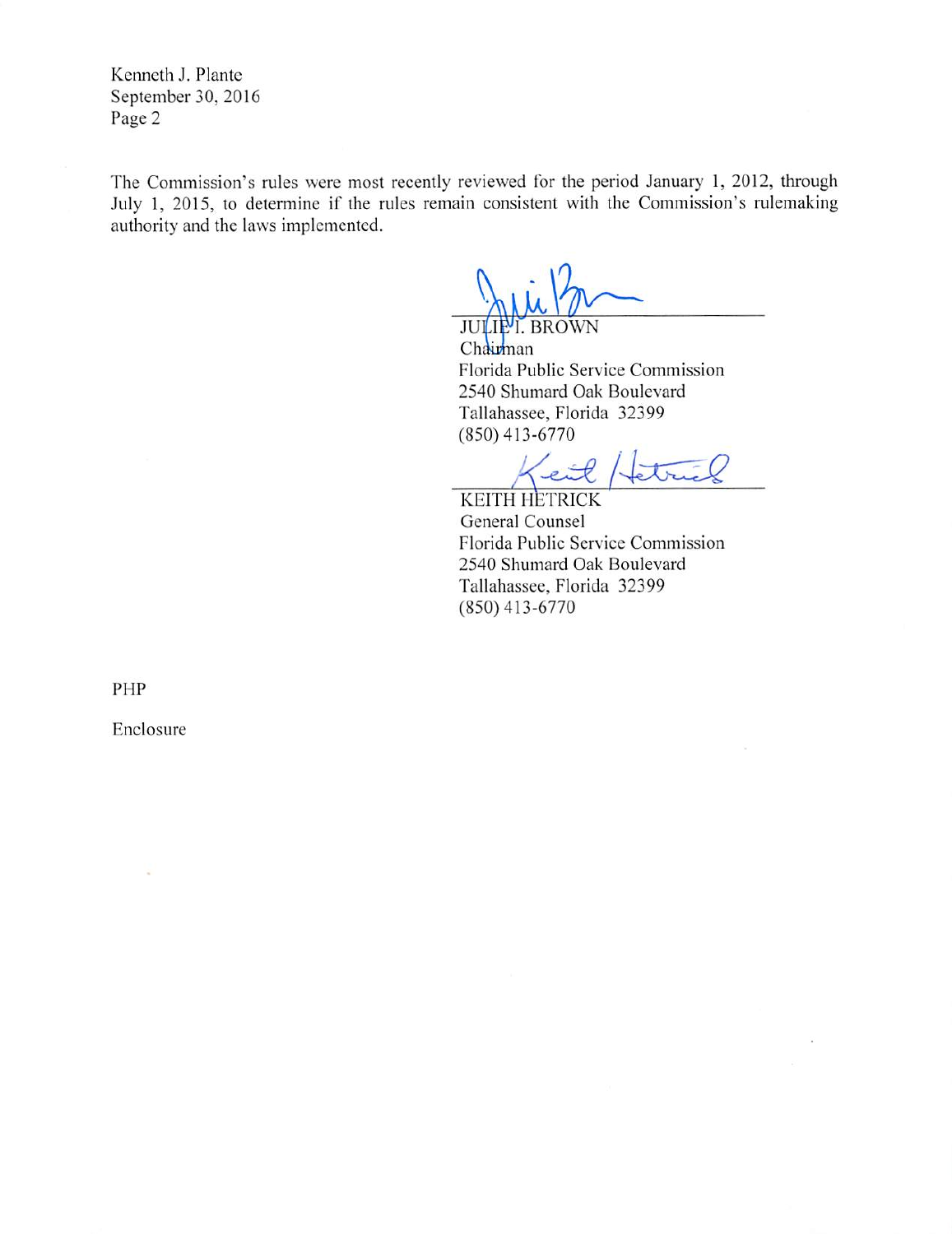Kenneth J. Plante September 30, 2016 Page 2

The Commission's rules were most recently reviewed for the period January 1, 2012, through July 1, 2015, to determine if the rules remain consistent with the Commission's rulemaking authority and the laws implemented.

**JULIE'I. BROWN** Chairman Florida Public Service Commission 2540 Shumard Oak Boulevard Tallahassee, Florida 32399 (850)413-6770

trick e

KEITH HETRICK General Counsel Florida Public Service Commission 2540 Shumard Oak Boulevard Tallahassee, Florida 32399 (850)413-6770

PHP

Enclosure

à,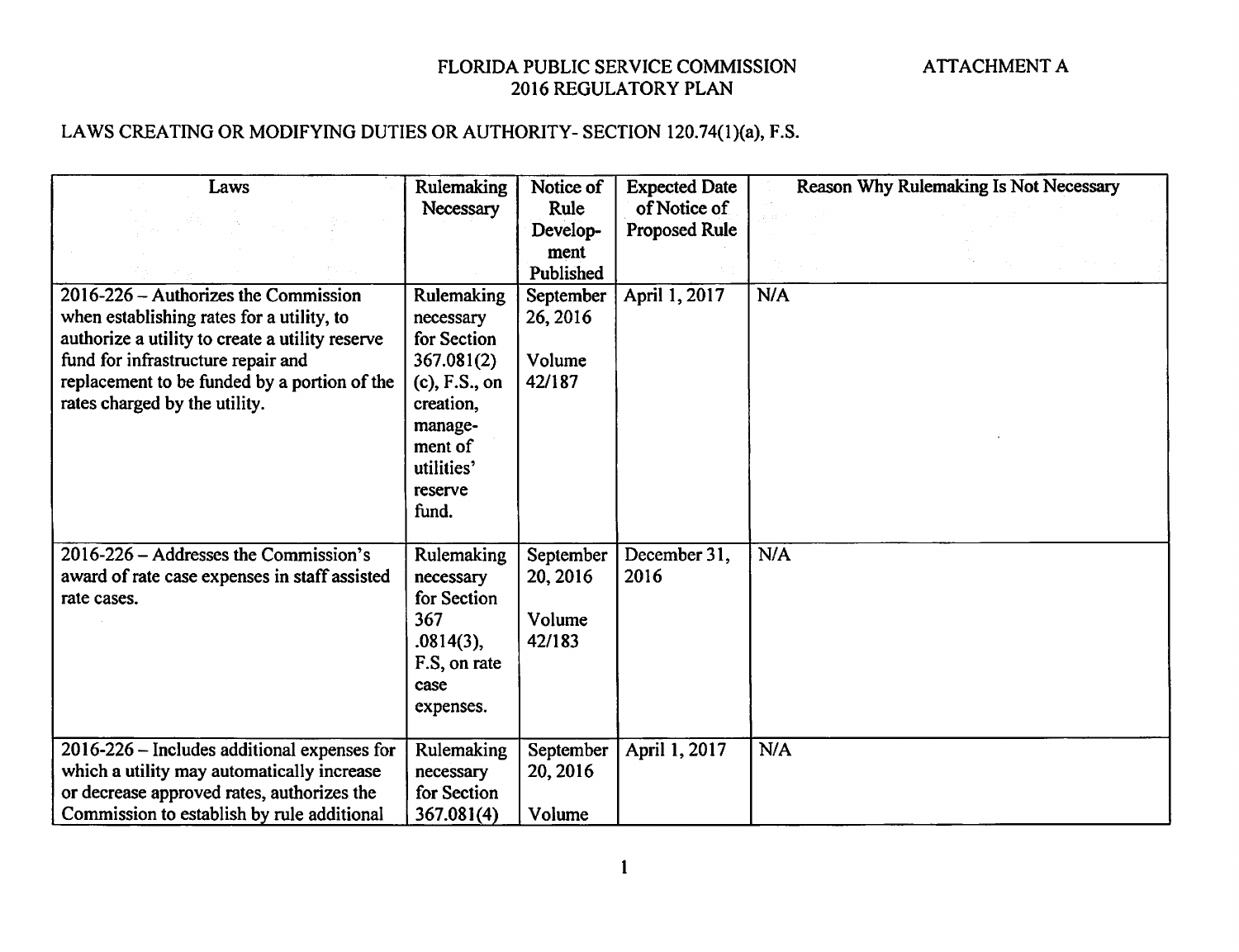## LAWS CREATING OR MODIFYING DUTIES OR AUTHORITY- SECTION 120.74(1)(a), F.S.

| Laws<br>$2016 - 226 -$ Authorizes the Commission                                                                                                                                          | Rulemaking<br>Necessary<br>Rulemaking                                                           | Notice of<br>Rule<br>Develop-<br>ment<br>Published<br>September | <b>Expected Date</b><br>of Notice of<br><b>Proposed Rule</b><br>April 1, 2017 | Reason Why Rulemaking Is Not Necessary<br>N/A |
|-------------------------------------------------------------------------------------------------------------------------------------------------------------------------------------------|-------------------------------------------------------------------------------------------------|-----------------------------------------------------------------|-------------------------------------------------------------------------------|-----------------------------------------------|
| when establishing rates for a utility, to<br>authorize a utility to create a utility reserve<br>fund for infrastructure repair and                                                        | necessary<br>for Section<br>367.081(2)                                                          | 26, 2016<br>Volume                                              |                                                                               |                                               |
| replacement to be funded by a portion of the<br>rates charged by the utility.                                                                                                             | $(c)$ , F.S., on<br>creation,<br>manage-<br>ment of<br>utilities'<br>reserve<br>fund.           | 42/187                                                          |                                                                               |                                               |
| 2016-226 – Addresses the Commission's<br>award of rate case expenses in staff assisted<br>rate cases.                                                                                     | Rulemaking<br>necessary<br>for Section<br>367<br>.0814(3),<br>F.S. on rate<br>case<br>expenses. | September<br>20, 2016<br>Volume<br>42/183                       | December 31,<br>2016                                                          | N/A                                           |
| $2016 - 226$ – Includes additional expenses for<br>which a utility may automatically increase<br>or decrease approved rates, authorizes the<br>Commission to establish by rule additional | Rulemaking<br>necessary<br>for Section<br>367.081(4)                                            | September<br>20, 2016<br>Volume                                 | April 1, 2017                                                                 | N/A                                           |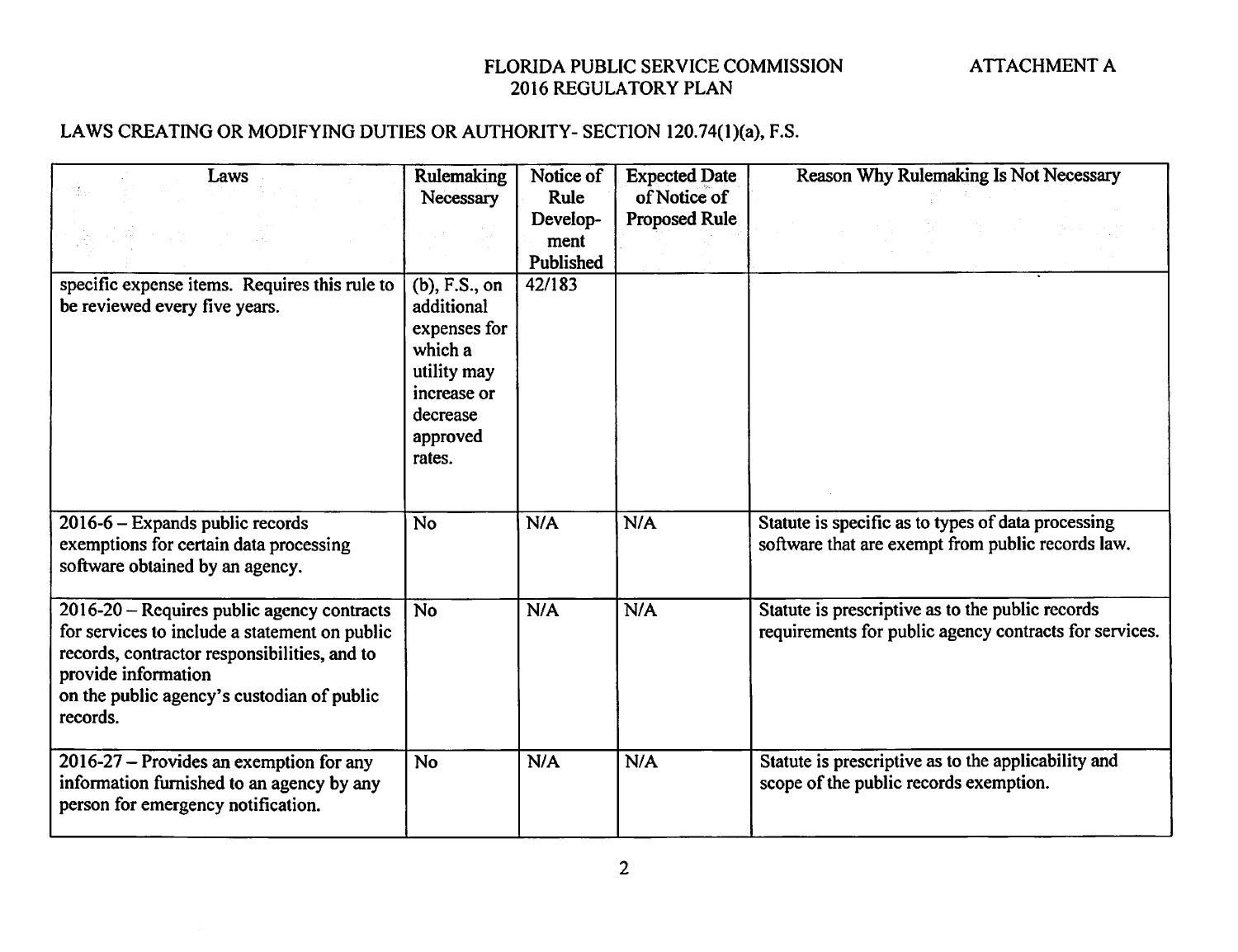#### LAWS CREATING OR MODIFYING DUTIES OR AUTHORITY- SECTION 120.74(1)(a), F.S.

| Laws<br>specific expense items. Requires this rule to<br>be reviewed every five years.                                                                                                                                       | <b>Rulemaking</b><br>Necessary<br>$(b)$ , F.S., on<br>additional<br>expenses for<br>which a<br>utility may<br>increase or<br>decrease<br>approved<br>rates. | Notice of<br>Rule<br>Develop-<br>ment<br>Published<br>42/183 | <b>Expected Date</b><br>of Notice of<br>Proposed Rule | Reason Why Rulemaking Is Not Necessary                                                                     |
|------------------------------------------------------------------------------------------------------------------------------------------------------------------------------------------------------------------------------|-------------------------------------------------------------------------------------------------------------------------------------------------------------|--------------------------------------------------------------|-------------------------------------------------------|------------------------------------------------------------------------------------------------------------|
| 2016-6 - Expands public records<br>exemptions for certain data processing<br>software obtained by an agency.                                                                                                                 | <b>No</b>                                                                                                                                                   | N/A                                                          | N/A                                                   | Statute is specific as to types of data processing<br>software that are exempt from public records law.    |
| 2016-20 - Requires public agency contracts<br>for services to include a statement on public<br>records, contractor responsibilities, and to<br>provide information<br>on the public agency's custodian of public<br>records. | <b>No</b>                                                                                                                                                   | N/A                                                          | N/A                                                   | Statute is prescriptive as to the public records<br>requirements for public agency contracts for services. |
| 2016-27 – Provides an exemption for any<br>information furnished to an agency by any<br>person for emergency notification.                                                                                                   | <b>No</b>                                                                                                                                                   | N/A                                                          | N/A                                                   | Statute is prescriptive as to the applicability and<br>scope of the public records exemption.              |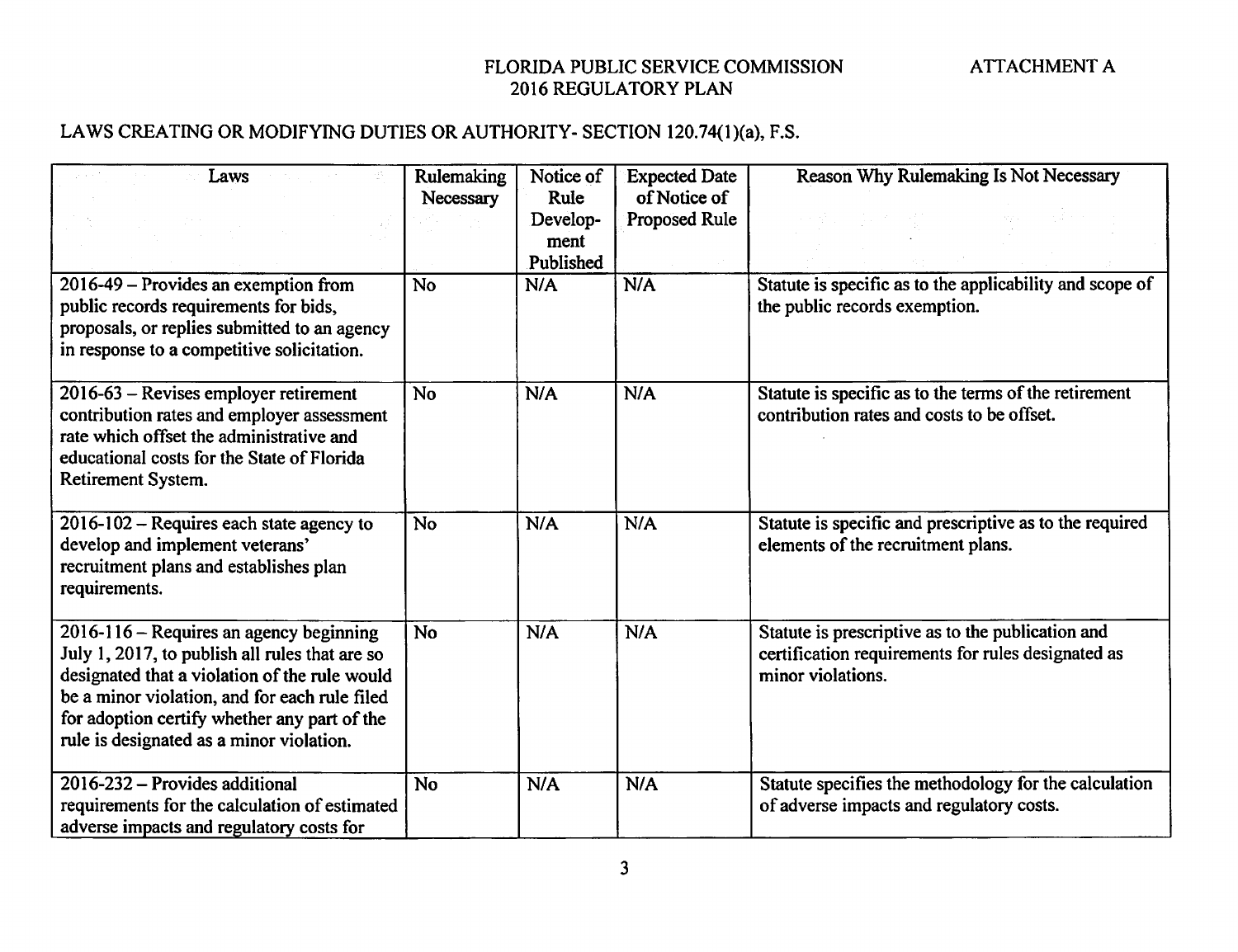## LAWS CREATING OR MODIFYING DUTIES OR AUTHORITY- SECTION 120.74(1)(a), F.S.

| Laws<br>2016-49 – Provides an exemption from                                                                                                                                                                                                                                            | Rulemaking<br>Necessary<br>No | Notice of<br>Rule<br>Develop-<br>ment<br>Published<br>N/A | <b>Expected Date</b><br>of Notice of<br>Proposed Rule<br>N/A | Reason Why Rulemaking Is Not Necessary<br>Statute is specific as to the applicability and scope of                           |
|-----------------------------------------------------------------------------------------------------------------------------------------------------------------------------------------------------------------------------------------------------------------------------------------|-------------------------------|-----------------------------------------------------------|--------------------------------------------------------------|------------------------------------------------------------------------------------------------------------------------------|
| public records requirements for bids,<br>proposals, or replies submitted to an agency<br>in response to a competitive solicitation.                                                                                                                                                     |                               |                                                           |                                                              | the public records exemption.                                                                                                |
| 2016-63 – Revises employer retirement<br>contribution rates and employer assessment<br>rate which offset the administrative and<br>educational costs for the State of Florida<br>Retirement System.                                                                                     | No                            | N/A                                                       | N/A                                                          | Statute is specific as to the terms of the retirement<br>contribution rates and costs to be offset.                          |
| 2016-102 - Requires each state agency to<br>develop and implement veterans'<br>recruitment plans and establishes plan<br>requirements.                                                                                                                                                  | <b>No</b>                     | N/A                                                       | N/A                                                          | Statute is specific and prescriptive as to the required<br>elements of the recruitment plans.                                |
| 2016-116 - Requires an agency beginning<br>July 1, 2017, to publish all rules that are so<br>designated that a violation of the rule would<br>be a minor violation, and for each rule filed<br>for adoption certify whether any part of the<br>rule is designated as a minor violation. | <b>No</b>                     | N/A                                                       | N/A                                                          | Statute is prescriptive as to the publication and<br>certification requirements for rules designated as<br>minor violations. |
| 2016-232 – Provides additional<br>requirements for the calculation of estimated<br>adverse impacts and regulatory costs for                                                                                                                                                             | <b>No</b>                     | N/A                                                       | N/A                                                          | Statute specifies the methodology for the calculation<br>of adverse impacts and regulatory costs.                            |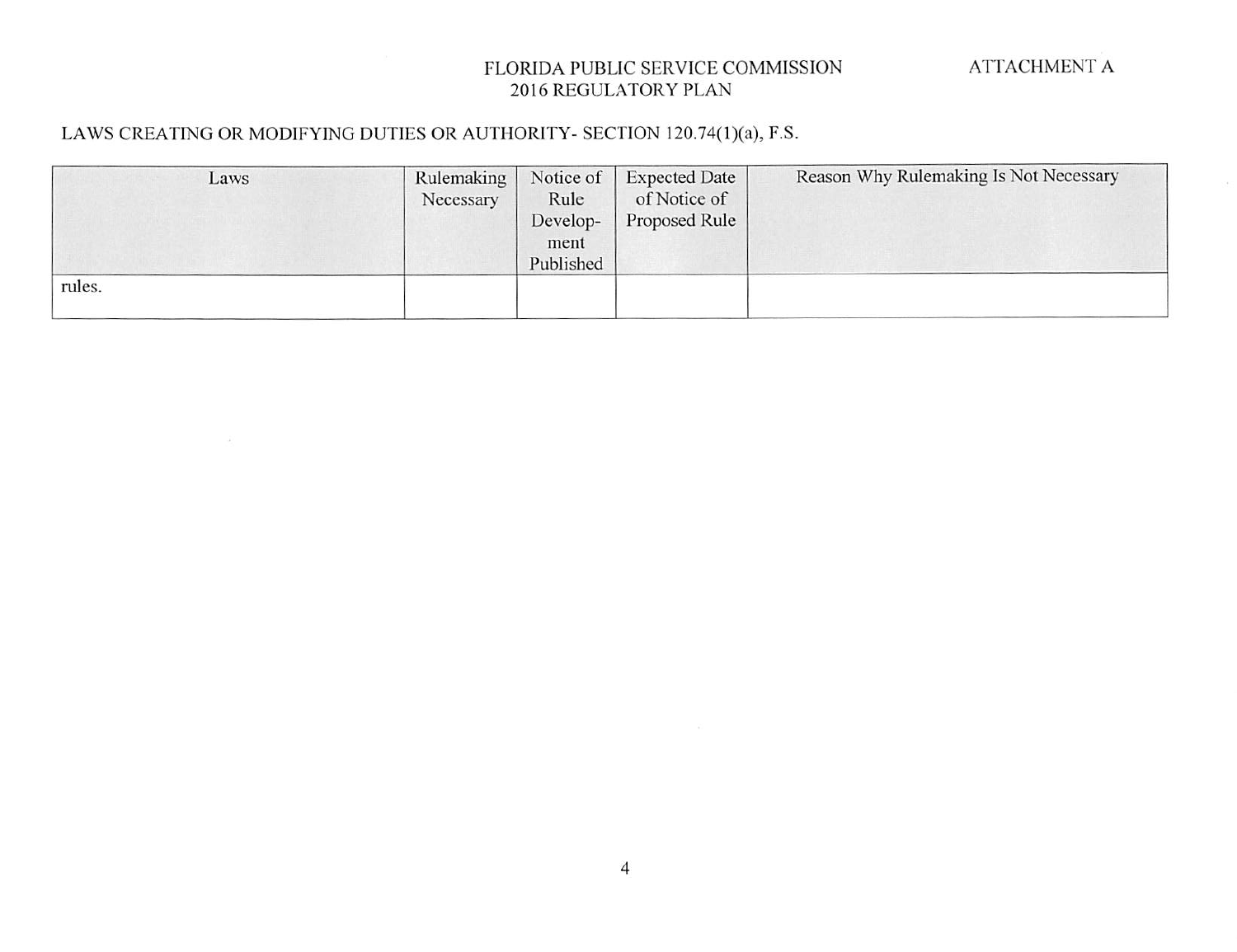## LAWS CREATING OR MODIFYING DUTIES OR AUTHORITY- SECTION 120.74(I)(a), F.S.

| Laws   | Rulemaking | Notice of | <b>Expected Date</b> | Reason Why Rulemaking Is Not Necessary |
|--------|------------|-----------|----------------------|----------------------------------------|
|        | Necessary  | Rule      | of Notice of         |                                        |
|        |            | Develop-  | Proposed Rule        |                                        |
|        |            | ment      |                      |                                        |
|        |            | Published |                      |                                        |
| rules. |            |           |                      |                                        |
|        |            |           |                      |                                        |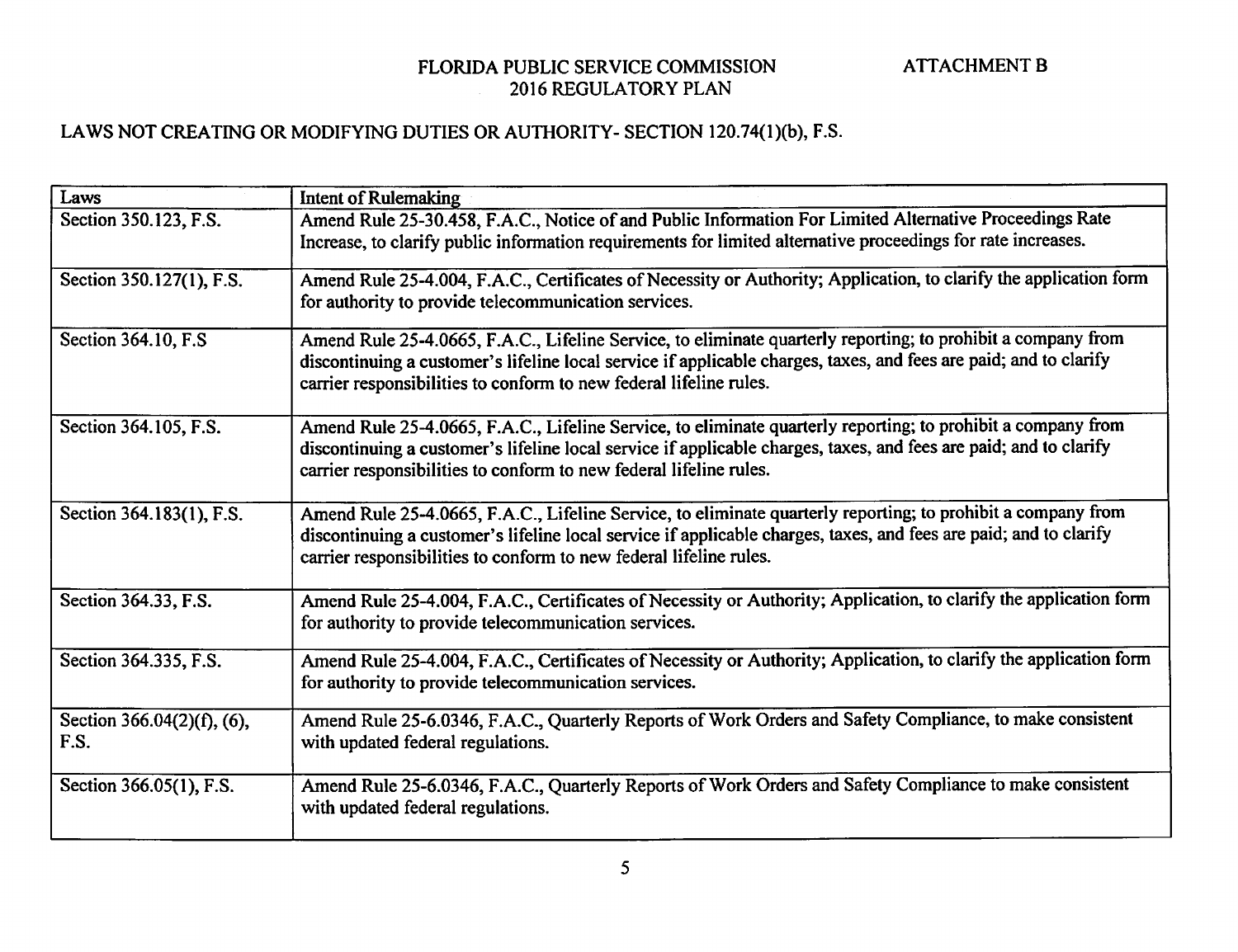#### LAWS NOT CREATING OR MODIFYING DUTIES OR AUTHORITY- SECTION 120.74(l)(b), F.S.

| Laws                               | Intent of Rulemaking                                                                                                                                                                                                                                                                                    |
|------------------------------------|---------------------------------------------------------------------------------------------------------------------------------------------------------------------------------------------------------------------------------------------------------------------------------------------------------|
| Section 350.123, F.S.              | Amend Rule 25-30.458, F.A.C., Notice of and Public Information For Limited Alternative Proceedings Rate<br>Increase, to clarify public information requirements for limited alternative proceedings for rate increases.                                                                                 |
| Section 350.127(1), F.S.           | Amend Rule 25-4.004, F.A.C., Certificates of Necessity or Authority; Application, to clarify the application form<br>for authority to provide telecommunication services.                                                                                                                               |
| Section 364.10, F.S.               | Amend Rule 25-4.0665, F.A.C., Lifeline Service, to eliminate quarterly reporting; to prohibit a company from<br>discontinuing a customer's lifeline local service if applicable charges, taxes, and fees are paid; and to clarify<br>carrier responsibilities to conform to new federal lifeline rules. |
| Section 364.105, F.S.              | Amend Rule 25-4.0665, F.A.C., Lifeline Service, to eliminate quarterly reporting; to prohibit a company from<br>discontinuing a customer's lifeline local service if applicable charges, taxes, and fees are paid; and to clarify<br>carrier responsibilities to conform to new federal lifeline rules. |
| Section 364.183(1), F.S.           | Amend Rule 25-4.0665, F.A.C., Lifeline Service, to eliminate quarterly reporting; to prohibit a company from<br>discontinuing a customer's lifeline local service if applicable charges, taxes, and fees are paid; and to clarify<br>carrier responsibilities to conform to new federal lifeline rules. |
| Section 364.33, F.S.               | Amend Rule 25-4.004, F.A.C., Certificates of Necessity or Authority; Application, to clarify the application form<br>for authority to provide telecommunication services.                                                                                                                               |
| Section 364.335, F.S.              | Amend Rule 25-4.004, F.A.C., Certificates of Necessity or Authority; Application, to clarify the application form<br>for authority to provide telecommunication services.                                                                                                                               |
| Section 366.04(2)(f), (6),<br>F.S. | Amend Rule 25-6.0346, F.A.C., Quarterly Reports of Work Orders and Safety Compliance, to make consistent<br>with updated federal regulations.                                                                                                                                                           |
| Section 366.05(1), F.S.            | Amend Rule 25-6.0346, F.A.C., Quarterly Reports of Work Orders and Safety Compliance to make consistent<br>with updated federal regulations.                                                                                                                                                            |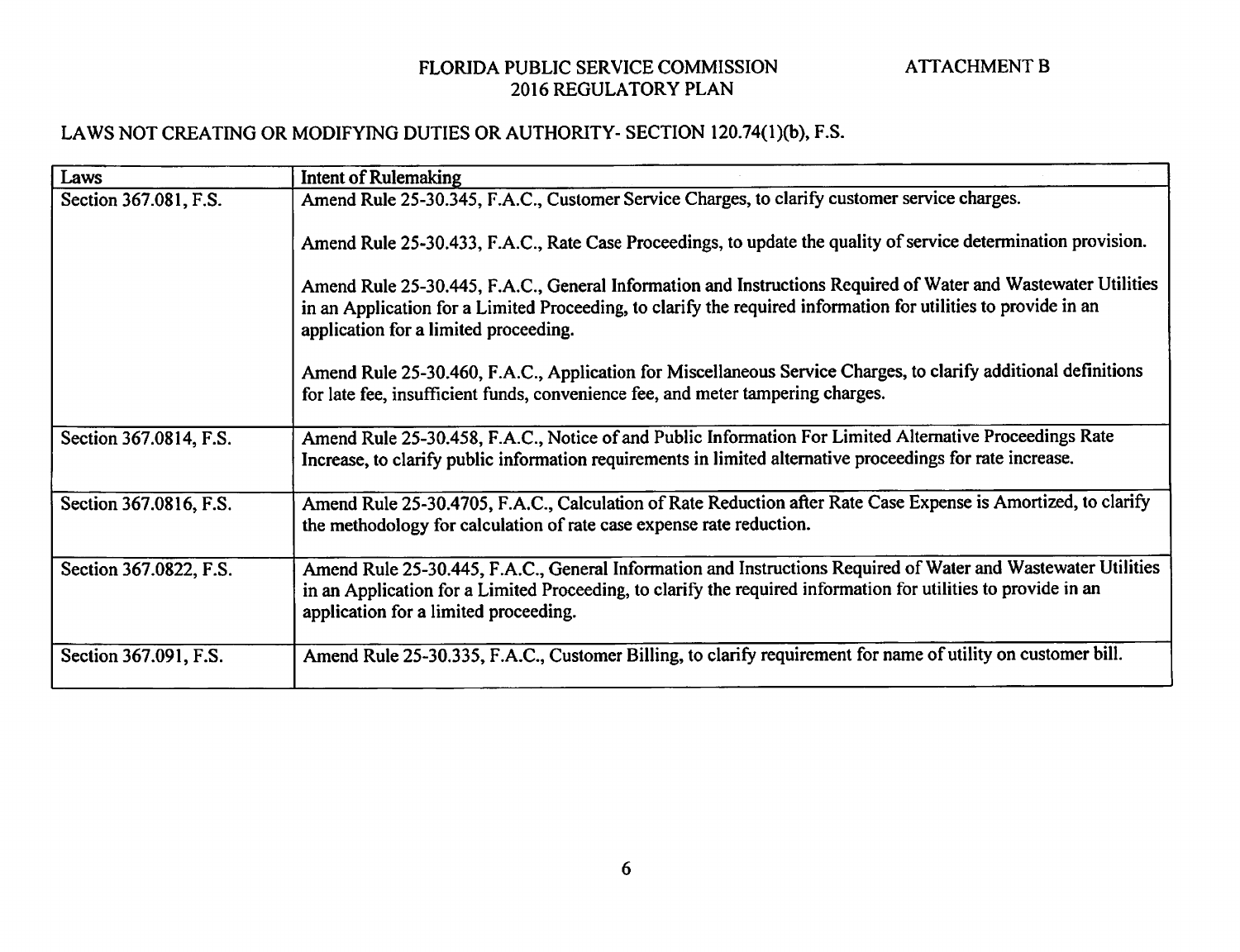## LAWS NOT CREATING OR MODIFYING DUTIES OR AUTHORITY- SECTION 120.74(1)(b), F.S.

| Laws                   | Intent of Rulemaking                                                                                                                                                                                                                                                     |
|------------------------|--------------------------------------------------------------------------------------------------------------------------------------------------------------------------------------------------------------------------------------------------------------------------|
| Section 367.081, F.S.  | Amend Rule 25-30.345, F.A.C., Customer Service Charges, to clarify customer service charges.                                                                                                                                                                             |
|                        | Amend Rule 25-30.433, F.A.C., Rate Case Proceedings, to update the quality of service determination provision.                                                                                                                                                           |
|                        | Amend Rule 25-30.445, F.A.C., General Information and Instructions Required of Water and Wastewater Utilities<br>in an Application for a Limited Proceeding, to clarify the required information for utilities to provide in an<br>application for a limited proceeding. |
|                        | Amend Rule 25-30.460, F.A.C., Application for Miscellaneous Service Charges, to clarify additional definitions<br>for late fee, insufficient funds, convenience fee, and meter tampering charges.                                                                        |
| Section 367.0814, F.S. | Amend Rule 25-30.458, F.A.C., Notice of and Public Information For Limited Alternative Proceedings Rate<br>Increase, to clarify public information requirements in limited alternative proceedings for rate increase.                                                    |
| Section 367.0816, F.S. | Amend Rule 25-30.4705, F.A.C., Calculation of Rate Reduction after Rate Case Expense is Amortized, to clarify<br>the methodology for calculation of rate case expense rate reduction.                                                                                    |
| Section 367.0822, F.S. | Amend Rule 25-30.445, F.A.C., General Information and Instructions Required of Water and Wastewater Utilities<br>in an Application for a Limited Proceeding, to clarify the required information for utilities to provide in an<br>application for a limited proceeding. |
| Section 367.091, F.S.  | Amend Rule 25-30.335, F.A.C., Customer Billing, to clarify requirement for name of utility on customer bill.                                                                                                                                                             |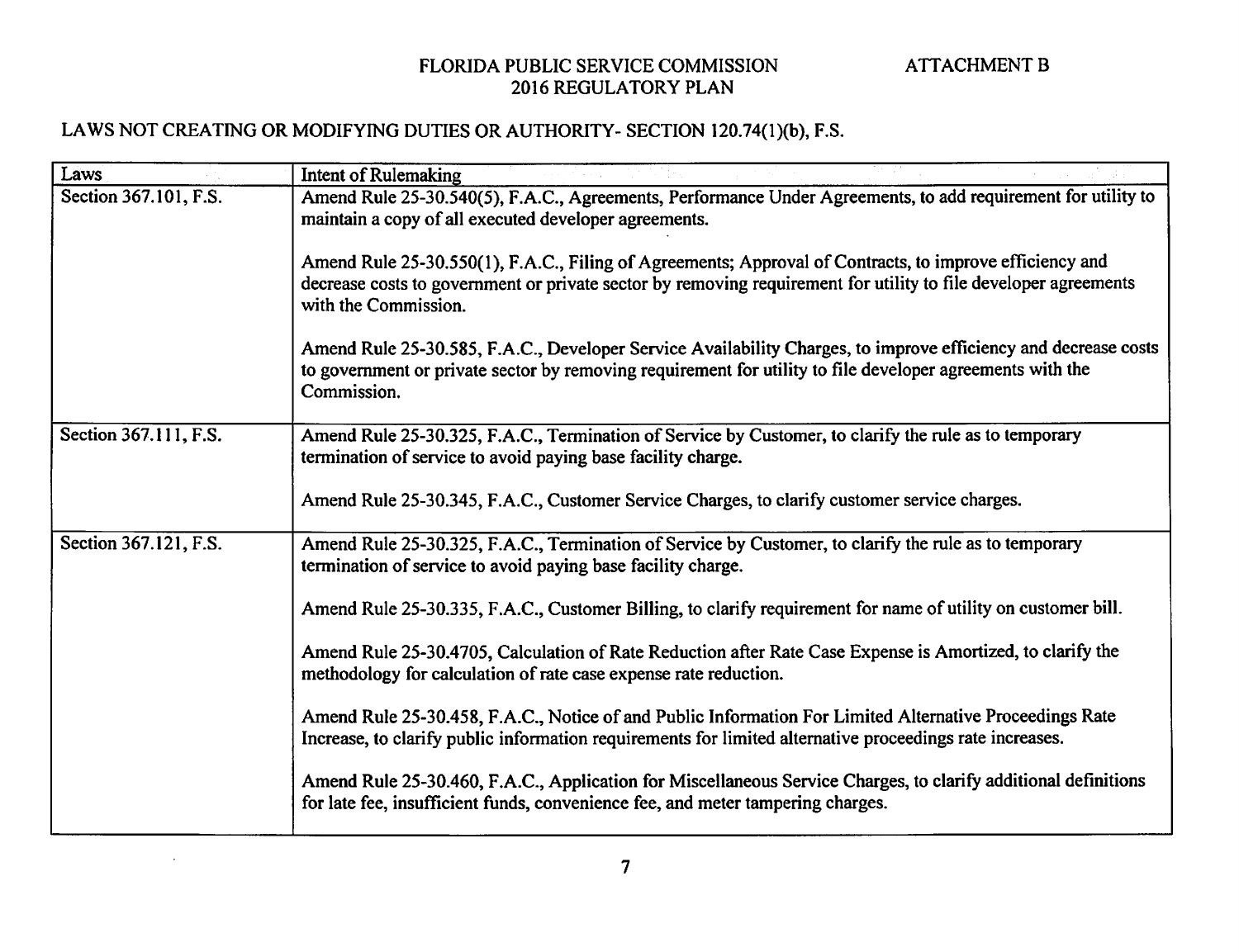## LAWS NOT CREATING OR MODIFYING DUTIES OR AUTHORITY- SECTION 120.74(1)(b), F.S.

 $\sim$ 

| Laws                  | <b>Intent of Rulemaking</b>                                                                                                                                                                                                                        |
|-----------------------|----------------------------------------------------------------------------------------------------------------------------------------------------------------------------------------------------------------------------------------------------|
| Section 367.101, F.S. | Amend Rule 25-30.540(5), F.A.C., Agreements, Performance Under Agreements, to add requirement for utility to<br>maintain a copy of all executed developer agreements.                                                                              |
|                       | Amend Rule 25-30.550(1), F.A.C., Filing of Agreements; Approval of Contracts, to improve efficiency and<br>decrease costs to government or private sector by removing requirement for utility to file developer agreements<br>with the Commission. |
|                       | Amend Rule 25-30.585, F.A.C., Developer Service Availability Charges, to improve efficiency and decrease costs<br>to government or private sector by removing requirement for utility to file developer agreements with the<br>Commission.         |
| Section 367.111, F.S. | Amend Rule 25-30.325, F.A.C., Termination of Service by Customer, to clarify the rule as to temporary<br>termination of service to avoid paying base facility charge.                                                                              |
|                       | Amend Rule 25-30.345, F.A.C., Customer Service Charges, to clarify customer service charges.                                                                                                                                                       |
| Section 367.121, F.S. | Amend Rule 25-30.325, F.A.C., Termination of Service by Customer, to clarify the rule as to temporary<br>termination of service to avoid paying base facility charge.                                                                              |
|                       | Amend Rule 25-30.335, F.A.C., Customer Billing, to clarify requirement for name of utility on customer bill.                                                                                                                                       |
|                       | Amend Rule 25-30.4705, Calculation of Rate Reduction after Rate Case Expense is Amortized, to clarify the<br>methodology for calculation of rate case expense rate reduction.                                                                      |
|                       | Amend Rule 25-30.458, F.A.C., Notice of and Public Information For Limited Alternative Proceedings Rate<br>Increase, to clarify public information requirements for limited alternative proceedings rate increases.                                |
|                       | Amend Rule 25-30.460, F.A.C., Application for Miscellaneous Service Charges, to clarify additional definitions<br>for late fee, insufficient funds, convenience fee, and meter tampering charges.                                                  |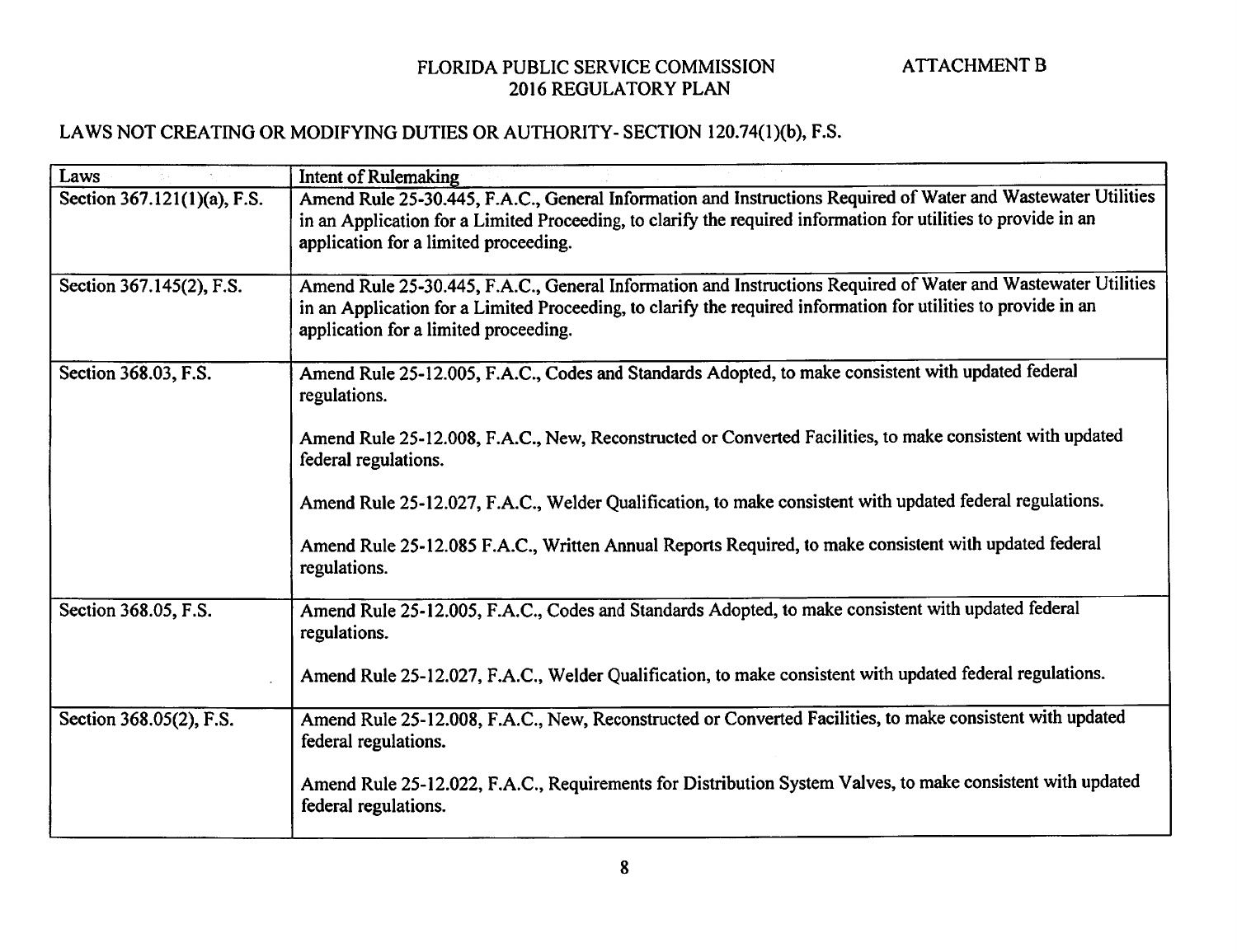## LAWS NOT CREATING OR MODIFYING DUTIES OR AUTHORITY- SECTION 120.74(1)(b), F.S.

| Laws                        | <b>Intent of Rulemaking</b>                                                                                                                                                                                                                                              |
|-----------------------------|--------------------------------------------------------------------------------------------------------------------------------------------------------------------------------------------------------------------------------------------------------------------------|
| Section 367.121(1)(a), F.S. | Amend Rule 25-30.445, F.A.C., General Information and Instructions Required of Water and Wastewater Utilities<br>in an Application for a Limited Proceeding, to clarify the required information for utilities to provide in an<br>application for a limited proceeding. |
| Section 367.145(2), F.S.    | Amend Rule 25-30.445, F.A.C., General Information and Instructions Required of Water and Wastewater Utilities<br>in an Application for a Limited Proceeding, to clarify the required information for utilities to provide in an<br>application for a limited proceeding. |
| Section 368.03, F.S.        | Amend Rule 25-12.005, F.A.C., Codes and Standards Adopted, to make consistent with updated federal<br>regulations.                                                                                                                                                       |
|                             | Amend Rule 25-12.008, F.A.C., New, Reconstructed or Converted Facilities, to make consistent with updated<br>federal regulations.                                                                                                                                        |
|                             | Amend Rule 25-12.027, F.A.C., Welder Qualification, to make consistent with updated federal regulations.                                                                                                                                                                 |
|                             | Amend Rule 25-12.085 F.A.C., Written Annual Reports Required, to make consistent with updated federal<br>regulations.                                                                                                                                                    |
| Section 368.05, F.S.        | Amend Rule 25-12.005, F.A.C., Codes and Standards Adopted, to make consistent with updated federal<br>regulations.                                                                                                                                                       |
|                             | Amend Rule 25-12.027, F.A.C., Welder Qualification, to make consistent with updated federal regulations.                                                                                                                                                                 |
| Section 368.05(2), F.S.     | Amend Rule 25-12.008, F.A.C., New, Reconstructed or Converted Facilities, to make consistent with updated<br>federal regulations.                                                                                                                                        |
|                             | Amend Rule 25-12.022, F.A.C., Requirements for Distribution System Valves, to make consistent with updated<br>federal regulations.                                                                                                                                       |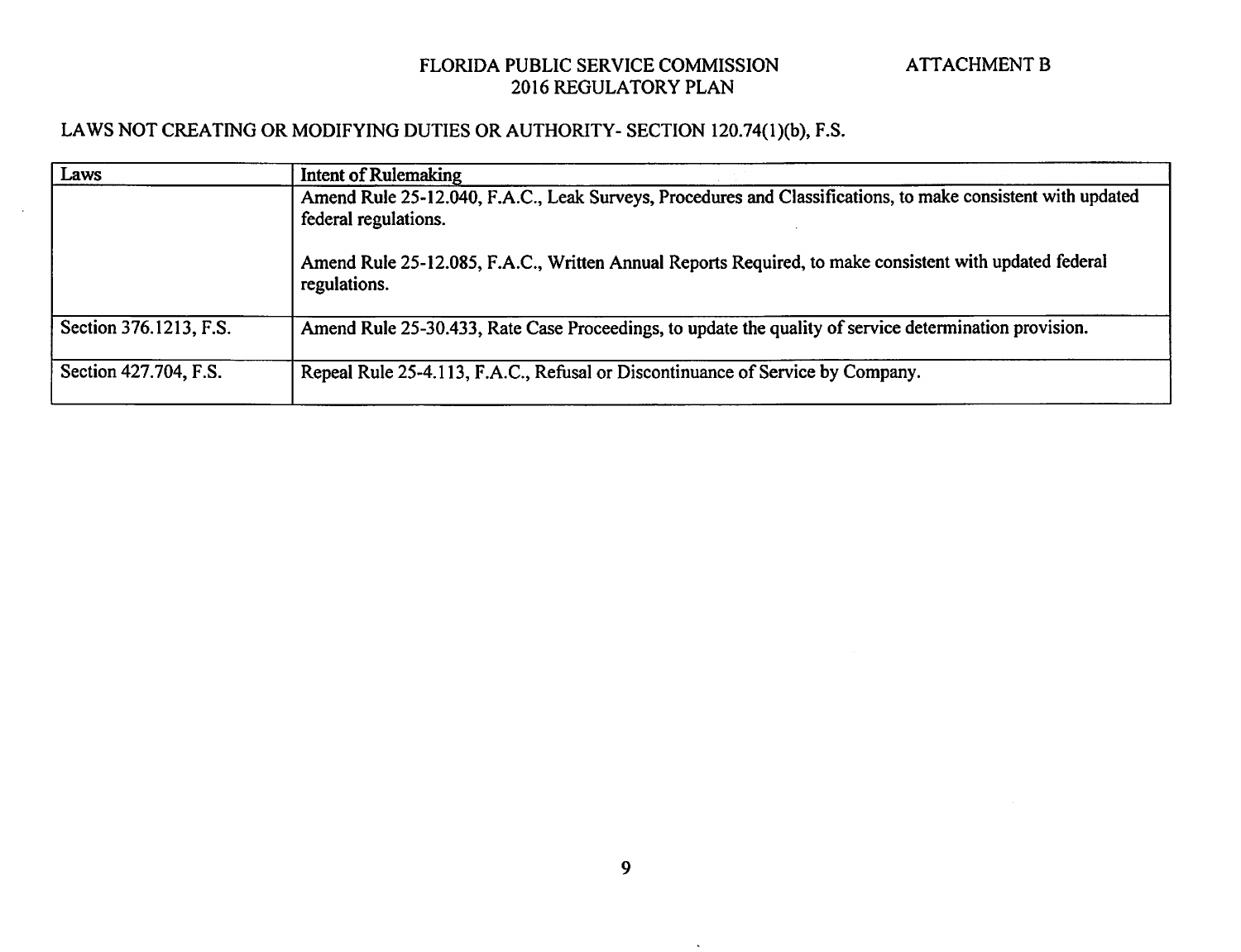## LAWS NOT CREATING OR MODIFYING DUTIES OR AUTHORITY- SECTION 120.74(1)(b), F.S.

| Laws                   | Intent of Rulemaking                                                                                                                |
|------------------------|-------------------------------------------------------------------------------------------------------------------------------------|
|                        | Amend Rule 25-12.040, F.A.C., Leak Surveys, Procedures and Classifications, to make consistent with updated<br>federal regulations. |
|                        | Amend Rule 25-12.085, F.A.C., Written Annual Reports Required, to make consistent with updated federal<br>regulations.              |
| Section 376.1213, F.S. | Amend Rule 25-30.433, Rate Case Proceedings, to update the quality of service determination provision.                              |
| Section 427.704, F.S.  | Repeal Rule 25-4.113, F.A.C., Refusal or Discontinuance of Service by Company.                                                      |